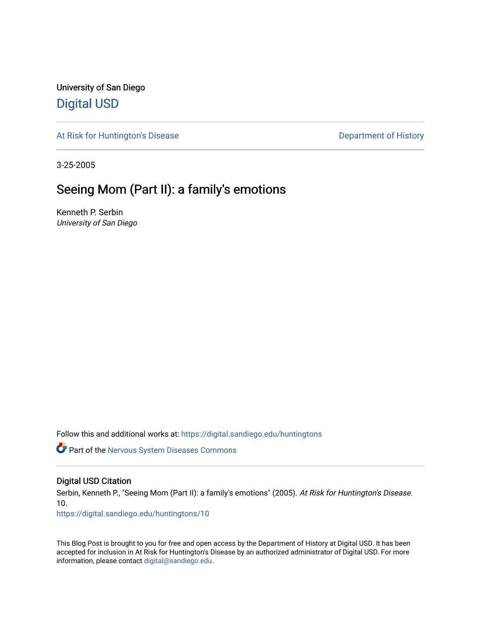University of San Diego [Digital USD](https://digital.sandiego.edu/)

[At Risk for Huntington's Disease](https://digital.sandiego.edu/huntingtons) **Department of History** Department of History

3-25-2005

# Seeing Mom (Part II): a family's emotions

Kenneth P. Serbin University of San Diego

Follow this and additional works at: [https://digital.sandiego.edu/huntingtons](https://digital.sandiego.edu/huntingtons?utm_source=digital.sandiego.edu%2Fhuntingtons%2F10&utm_medium=PDF&utm_campaign=PDFCoverPages)

**Part of the [Nervous System Diseases Commons](http://network.bepress.com/hgg/discipline/928?utm_source=digital.sandiego.edu%2Fhuntingtons%2F10&utm_medium=PDF&utm_campaign=PDFCoverPages)** 

# Digital USD Citation

Serbin, Kenneth P., "Seeing Mom (Part II): a family's emotions" (2005). At Risk for Huntington's Disease. 10.

[https://digital.sandiego.edu/huntingtons/10](https://digital.sandiego.edu/huntingtons/10?utm_source=digital.sandiego.edu%2Fhuntingtons%2F10&utm_medium=PDF&utm_campaign=PDFCoverPages)

This Blog Post is brought to you for free and open access by the Department of History at Digital USD. It has been accepted for inclusion in At Risk for Huntington's Disease by an authorized administrator of Digital USD. For more information, please contact [digital@sandiego.edu.](mailto:digital@sandiego.edu)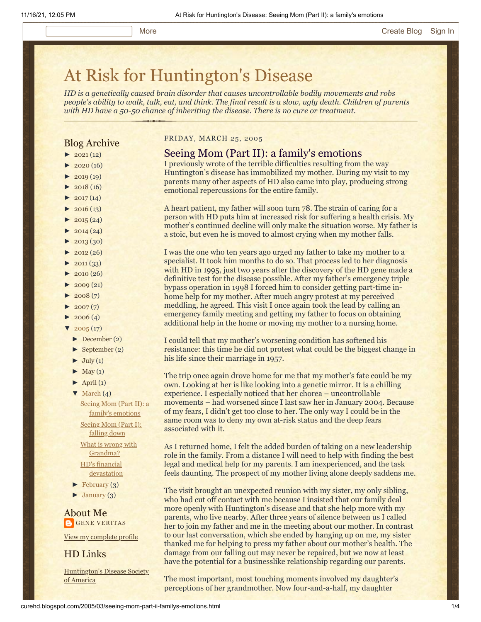# [At Risk for Huntington's Disease](http://curehd.blogspot.com/)

*HD is a genetically caused brain disorder that causes uncontrollable bodily movements and robs people's ability to walk, talk, eat, and think. The final result is a slow, ugly death. Children of parents with HD have a 50-50 chance of inheriting the disease. There is no cure or treatment.*

# Blog Archive

- $\blacktriangleright$  [2021](http://curehd.blogspot.com/2021/)(12)
- $2020(16)$  $2020(16)$
- $2019(19)$  $2019(19)$
- $\blacktriangleright$  [2018](http://curehd.blogspot.com/2018/) (16)
- $2017(14)$  $2017(14)$
- $2016(13)$  $2016(13)$
- $\blacktriangleright$  [2015](http://curehd.blogspot.com/2015/) (24)
- $\blacktriangleright$  [2014](http://curehd.blogspot.com/2014/) (24)
- $\blacktriangleright$  [2013](http://curehd.blogspot.com/2013/) (30)
- $\blacktriangleright$  [2012](http://curehd.blogspot.com/2012/) (26)
- $\blacktriangleright$  [2011](http://curehd.blogspot.com/2011/) (33)
- $\blacktriangleright$  [2010](http://curehd.blogspot.com/2010/) (26)
- $\blacktriangleright$  [2009](http://curehd.blogspot.com/2009/) (21)
- $\blacktriangleright$  [2008](http://curehd.blogspot.com/2008/) $(7)$
- $\blacktriangleright$  [2007](http://curehd.blogspot.com/2007/) $(7)$
- $\blacktriangleright$  [2006](http://curehd.blogspot.com/2006/) (4)
- $\sqrt{2005(17)}$  $\sqrt{2005(17)}$  $\sqrt{2005(17)}$ 
	- [►](javascript:void(0)) [December](http://curehd.blogspot.com/2005/12/) (2)
- [►](javascript:void(0)) [September](http://curehd.blogspot.com/2005/09/) (2)
- $\blacktriangleright$  [July](http://curehd.blogspot.com/2005/07/) (1)
- $\blacktriangleright$  [May](http://curehd.blogspot.com/2005/05/) (1)
- $\blacktriangleright$  [April](http://curehd.blogspot.com/2005/04/) (1)
- $\nabla$  [March](http://curehd.blogspot.com/2005/03/)  $(4)$ 
	- Seeing Mom (Part II): a family's [emotions](http://curehd.blogspot.com/2005/03/seeing-mom-part-ii-familys-emotions.html)

[Seeing](http://curehd.blogspot.com/2005/03/seeing-mom-part-i-falling-down.html) Mom (Part I): falling down What is wrong with [Grandma?](http://curehd.blogspot.com/2005/03/what-is-wrong-with-grandma.html)

HD's financial [devastation](http://curehd.blogspot.com/2005/03/hds-financial-devastation.html)

- $\blacktriangleright$  [February](http://curehd.blogspot.com/2005/02/) (3)
- [►](javascript:void(0)) [January](http://curehd.blogspot.com/2005/01/) (3)

About Me **GENE [VERITAS](https://www.blogger.com/profile/10911736205741688185)** 

View my [complete](https://www.blogger.com/profile/10911736205741688185) profile

HD Links

[Huntington's](http://www.hdsa.org/) Disease Society of America

## FRIDAY, MARCH 25, 2005

# Seeing Mom (Part II): a family's emotions

I previously wrote of the terrible difficulties resulting from the way Huntington's disease has immobilized my mother. During my visit to my parents many other aspects of HD also came into play, producing strong emotional repercussions for the entire family.

A heart patient, my father will soon turn 78. The strain of caring for a person with HD puts him at increased risk for suffering a health crisis. My mother's continued decline will only make the situation worse. My father is a stoic, but even he is moved to almost crying when my mother falls.

I was the one who ten years ago urged my father to take my mother to a specialist. It took him months to do so. That process led to her diagnosis with HD in 1995, just two years after the discovery of the HD gene made a definitive test for the disease possible. After my father's emergency triple bypass operation in 1998 I forced him to consider getting part-time inhome help for my mother. After much angry protest at my perceived meddling, he agreed. This visit I once again took the lead by calling an emergency family meeting and getting my father to focus on obtaining additional help in the home or moving my mother to a nursing home.

I could tell that my mother's worsening condition has softened his resistance: this time he did not protest what could be the biggest change in his life since their marriage in 1957.

The trip once again drove home for me that my mother's fate could be my own. Looking at her is like looking into a genetic mirror. It is a chilling experience. I especially noticed that her chorea – uncontrollable movements – had worsened since I last saw her in January 2004. Because of my fears, I didn't get too close to her. The only way I could be in the same room was to deny my own at-risk status and the deep fears associated with it.

As I returned home, I felt the added burden of taking on a new leadership role in the family. From a distance I will need to help with finding the best legal and medical help for my parents. I am inexperienced, and the task feels daunting. The prospect of my mother living alone deeply saddens me.

The visit brought an unexpected reunion with my sister, my only sibling, who had cut off contact with me because I insisted that our family deal more openly with Huntington's disease and that she help more with my parents, who live nearby. After three years of silence between us I called her to join my father and me in the meeting about our mother. In contrast to our last conversation, which she ended by hanging up on me, my sister thanked me for helping to press my father about our mother's health. The damage from our falling out may never be repaired, but we now at least have the potential for a businesslike relationship regarding our parents.

The most important, most touching moments involved my daughter's perceptions of her grandmother. Now four-and-a-half, my daughter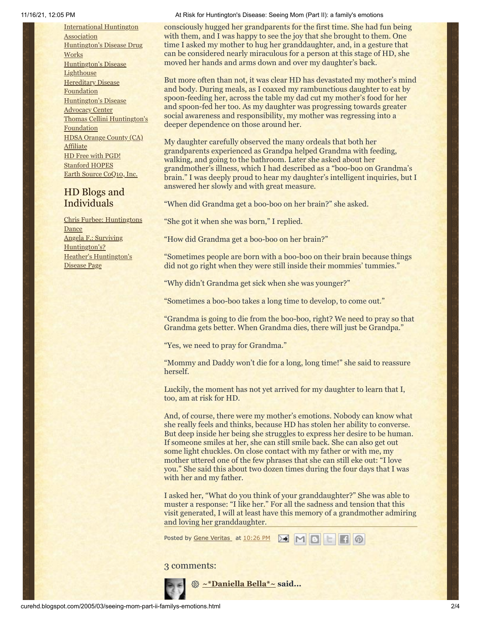[International](http://www.huntington-assoc.com/) Huntington **Association** [Huntington's](http://hddrugworks.org/) Disease Drug **Works** [Huntington's](http://www.hdlighthouse.org/) Disease **Lighthouse [Hereditary](http://www.hdfoundation.org/) Disease Foundation** [Huntington's](http://www.hdac.org/) Disease Advocacy Center Thomas [Cellini Huntington's](http://www.ourtchfoundation.org/) **Foundation** HDSA Orange County (CA) **[Affiliate](http://www.hdsaoc.org/)** HD Free with [PGD!](http://www.hdfreewithpgd.com/) [Stanford](http://www.stanford.edu/group/hopes/) HOPES Earth Source [CoQ10,](http://www.escoq10.com/) Inc.

# HD Blogs and Individuals

Chris Furbee: [Huntingtons](http://www.huntingtonsdance.org/) Dance Angela F.: Surviving [Huntington's?](http://survivinghuntingtons.blogspot.com/) Heather's [Huntington's](http://heatherdugdale.angelfire.com/) Disease Page

#### 11/16/21, 12:05 PM At Risk for Huntington's Disease: Seeing Mom (Part II): a family's emotions

consciously hugged her grandparents for the first time. She had fun being with them, and I was happy to see the joy that she brought to them. One time I asked my mother to hug her granddaughter, and, in a gesture that can be considered nearly miraculous for a person at this stage of HD, she moved her hands and arms down and over my daughter's back.

But more often than not, it was clear HD has devastated my mother's mind and body. During meals, as I coaxed my rambunctious daughter to eat by spoon-feeding her, across the table my dad cut my mother's food for her and spoon-fed her too. As my daughter was progressing towards greater social awareness and responsibility, my mother was regressing into a deeper dependence on those around her.

My daughter carefully observed the many ordeals that both her grandparents experienced as Grandpa helped Grandma with feeding, walking, and going to the bathroom. Later she asked about her grandmother's illness, which I had described as a "boo-boo on Grandma's brain." I was deeply proud to hear my daughter's intelligent inquiries, but I answered her slowly and with great measure.

"When did Grandma get a boo-boo on her brain?" she asked.

"She got it when she was born," I replied.

"How did Grandma get a boo-boo on her brain?"

"Sometimes people are born with a boo-boo on their brain because things did not go right when they were still inside their mommies' tummies."

"Why didn't Grandma get sick when she was younger?"

"Sometimes a boo-boo takes a long time to develop, to come out."

"Grandma is going to die from the boo-boo, right? We need to pray so that Grandma gets better. When Grandma dies, there will just be Grandpa."

"Yes, we need to pray for Grandma."

"Mommy and Daddy won't die for a long, long time!" she said to reassure herself.

Luckily, the moment has not yet arrived for my daughter to learn that I, too, am at risk for HD.

And, of course, there were my mother's emotions. Nobody can know what she really feels and thinks, because HD has stolen her ability to converse. But deep inside her being she struggles to express her desire to be human. If someone smiles at her, she can still smile back. She can also get out some light chuckles. On close contact with my father or with me, my mother uttered one of the few phrases that she can still eke out: "I love you." She said this about two dozen times during the four days that I was with her and my father.

I asked her, "What do you think of your granddaughter?" She was able to muster a response: "I like her." For all the sadness and tension that this visit generated, I will at least have this memory of a grandmother admiring and loving her granddaughter.

ME

 $\geq$ 

Posted by Gene [Veritas](https://www.blogger.com/profile/03599828959793084715) at [10:26](http://curehd.blogspot.com/2005/03/seeing-mom-part-ii-familys-emotions.html) PM

# 3 comments:



**[~\\*Daniella Bella\\*~](https://www.blogger.com/profile/17138469305463914989) said...**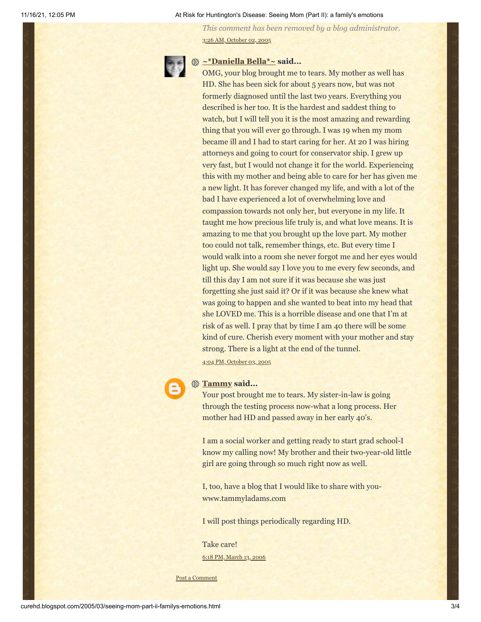#### 11/16/21, 12:05 PM At Risk for Huntington's Disease: Seeing Mom (Part II): a family's emotions

*This comment has been removed by a blog administrator.* 3:26 AM, [October](http://curehd.blogspot.com/2005/03/seeing-mom-part-ii-familys-emotions.html?showComment=1128248760000#c112824879731823294) 02, 2005



# **[~\\*Daniella Bella\\*~](https://www.blogger.com/profile/17138469305463914989) said...**

OMG, your blog brought me to tears. My mother as well has HD. She has been sick for about 5 years now, but was not formerly diagnosed until the last two years. Everything you described is her too. It is the hardest and saddest thing to watch, but I will tell you it is the most amazing and rewarding thing that you will ever go through. I was 19 when my mom became ill and I had to start caring for her. At 20 I was hiring attorneys and going to court for conservator ship. I grew up very fast, but I would not change it for the world. Experiencing this with my mother and being able to care for her has given me a new light. It has forever changed my life, and with a lot of the bad I have experienced a lot of overwhelming love and compassion towards not only her, but everyone in my life. It taught me how precious life truly is, and what love means. It is amazing to me that you brought up the love part. My mother too could not talk, remember things, etc. But every time I would walk into a room she never forgot me and her eyes would light up. She would say I love you to me every few seconds, and till this day I am not sure if it was because she was just forgetting she just said it? Or if it was because she knew what was going to happen and she wanted to beat into my head that she LOVED me. This is a horrible disease and one that I'm at risk of as well. I pray that by time I am 40 there will be some kind of cure. Cherish every moment with your mother and stay strong. There is a light at the end of the tunnel. 4:04 PM, [October](http://curehd.blogspot.com/2005/03/seeing-mom-part-ii-familys-emotions.html?showComment=1128380640000#c112838068158842637) 03, 2005



## **[Tammy](https://www.blogger.com/profile/18273011355956176989) said...**

Your post brought me to tears. My sister-in-law is going through the testing process now-what a long process. Her mother had HD and passed away in her early 40's.

I am a social worker and getting ready to start grad school-I know my calling now! My brother and their two-year-old little girl are going through so much right now as well.

I, too, have a blog that I would like to share with youwww.tammyladams.com

I will post things periodically regarding HD.

Take care! 6:18 PM, [March](http://curehd.blogspot.com/2005/03/seeing-mom-part-ii-familys-emotions.html?showComment=1142302680000#c114230272948207564) 13, 2006

Post a [Comment](https://www.blogger.com/comment.g?blogID=10081281&postID=111181893124563866&isPopup=true)